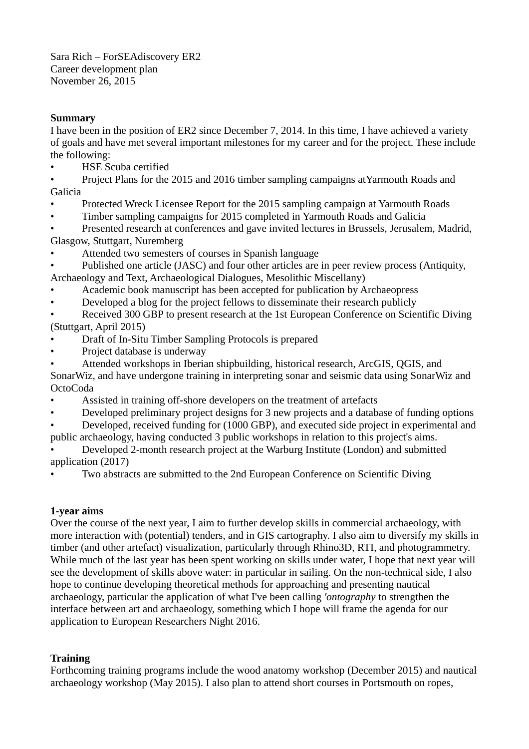Sara Rich – ForSEAdiscovery ER2 Career development plan November 26, 2015

# **Summary**

I have been in the position of ER2 since December 7, 2014. In this time, I have achieved a variety of goals and have met several important milestones for my career and for the project. These include the following:

• HSE Scuba certified

• Project Plans for the 2015 and 2016 timber sampling campaigns atYarmouth Roads and Galicia

- Protected Wreck Licensee Report for the 2015 sampling campaign at Yarmouth Roads
- Timber sampling campaigns for 2015 completed in Yarmouth Roads and Galicia

• Presented research at conferences and gave invited lectures in Brussels, Jerusalem, Madrid, Glasgow, Stuttgart, Nuremberg

Attended two semesters of courses in Spanish language

• Published one article (JASC) and four other articles are in peer review process (Antiquity, Archaeology and Text, Archaeological Dialogues, Mesolithic Miscellany)

• Academic book manuscript has been accepted for publication by Archaeopress

• Developed a blog for the project fellows to disseminate their research publicly

Received 300 GBP to present research at the 1st European Conference on Scientific Diving (Stuttgart, April 2015)

- Draft of In-Situ Timber Sampling Protocols is prepared
- Project database is underway
- Attended workshops in Iberian shipbuilding, historical research, ArcGIS, QGIS, and

SonarWiz, and have undergone training in interpreting sonar and seismic data using SonarWiz and OctoCoda

- Assisted in training off-shore developers on the treatment of artefacts
- Developed preliminary project designs for 3 new projects and a database of funding options
- Developed, received funding for (1000 GBP), and executed side project in experimental and public archaeology, having conducted 3 public workshops in relation to this project's aims.
- Developed 2-month research project at the Warburg Institute (London) and submitted application (2017)
- Two abstracts are submitted to the 2nd European Conference on Scientific Diving

# **1-year aims**

Over the course of the next year, I aim to further develop skills in commercial archaeology, with more interaction with (potential) tenders, and in GIS cartography. I also aim to diversify my skills in timber (and other artefact) visualization, particularly through Rhino3D, RTI, and photogrammetry. While much of the last year has been spent working on skills under water. I hope that next year will see the development of skills above water: in particular in sailing. On the non-technical side, I also hope to continue developing theoretical methods for approaching and presenting nautical archaeology, particular the application of what I've been calling *'ontography* to strengthen the interface between art and archaeology, something which I hope will frame the agenda for our application to European Researchers Night 2016.

# **Training**

Forthcoming training programs include the wood anatomy workshop (December 2015) and nautical archaeology workshop (May 2015). I also plan to attend short courses in Portsmouth on ropes,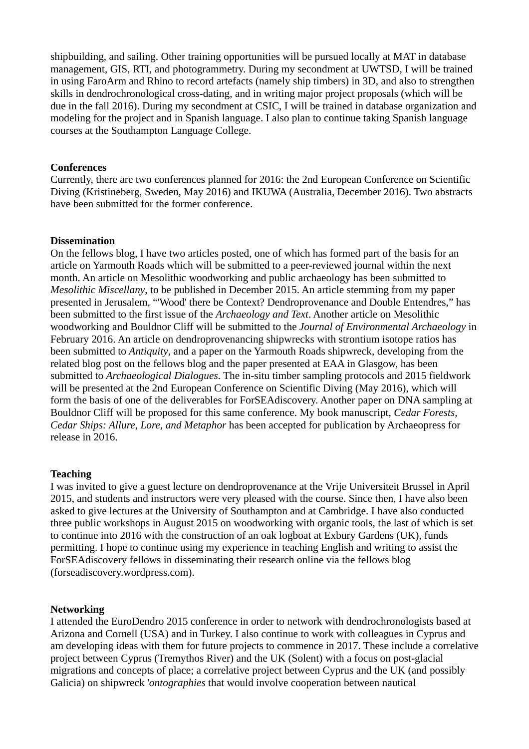shipbuilding, and sailing. Other training opportunities will be pursued locally at MAT in database management, GIS, RTI, and photogrammetry. During my secondment at UWTSD, I will be trained in using FaroArm and Rhino to record artefacts (namely ship timbers) in 3D, and also to strengthen skills in dendrochronological cross-dating, and in writing major project proposals (which will be due in the fall 2016). During my secondment at CSIC, I will be trained in database organization and modeling for the project and in Spanish language. I also plan to continue taking Spanish language courses at the Southampton Language College.

### **Conferences**

Currently, there are two conferences planned for 2016: the 2nd European Conference on Scientific Diving (Kristineberg, Sweden, May 2016) and IKUWA (Australia, December 2016). Two abstracts have been submitted for the former conference.

### **Dissemination**

On the fellows blog, I have two articles posted, one of which has formed part of the basis for an article on Yarmouth Roads which will be submitted to a peer-reviewed journal within the next month. An article on Mesolithic woodworking and public archaeology has been submitted to *Mesolithic Miscellany*, to be published in December 2015. An article stemming from my paper presented in Jerusalem, "'Wood' there be Context? Dendroprovenance and Double Entendres," has been submitted to the first issue of the *Archaeology and Text*. Another article on Mesolithic woodworking and Bouldnor Cliff will be submitted to the *Journal of Environmental Archaeology* in February 2016. An article on dendroprovenancing shipwrecks with strontium isotope ratios has been submitted to *Antiquity*, and a paper on the Yarmouth Roads shipwreck, developing from the related blog post on the fellows blog and the paper presented at EAA in Glasgow, has been submitted to *Archaeological Dialogues*. The in-situ timber sampling protocols and 2015 fieldwork will be presented at the 2nd European Conference on Scientific Diving (May 2016), which will form the basis of one of the deliverables for ForSEAdiscovery. Another paper on DNA sampling at Bouldnor Cliff will be proposed for this same conference. My book manuscript, *Cedar Forests, Cedar Ships: Allure, Lore, and Metaphor* has been accepted for publication by Archaeopress for release in 2016.

#### **Teaching**

I was invited to give a guest lecture on dendroprovenance at the Vrije Universiteit Brussel in April 2015, and students and instructors were very pleased with the course. Since then, I have also been asked to give lectures at the University of Southampton and at Cambridge. I have also conducted three public workshops in August 2015 on woodworking with organic tools, the last of which is set to continue into 2016 with the construction of an oak logboat at Exbury Gardens (UK), funds permitting. I hope to continue using my experience in teaching English and writing to assist the ForSEAdiscovery fellows in disseminating their research online via the fellows blog (forseadiscovery.wordpress.com).

#### **Networking**

I attended the EuroDendro 2015 conference in order to network with dendrochronologists based at Arizona and Cornell (USA) and in Turkey. I also continue to work with colleagues in Cyprus and am developing ideas with them for future projects to commence in 2017. These include a correlative project between Cyprus (Tremythos River) and the UK (Solent) with a focus on post-glacial migrations and concepts of place; a correlative project between Cyprus and the UK (and possibly Galicia) on shipwreck '*ontographies* that would involve cooperation between nautical